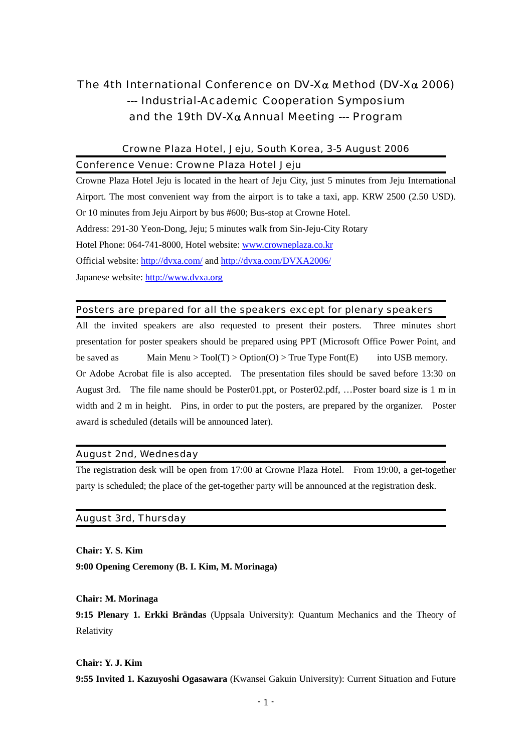# The 4th International Conference on DV-Xα Method (DV-Xα 2006) --- Industrial-Academic Cooperation Symposium and the 19th DV-X $\alpha$  Annual Meeting --- Program

# Crowne Plaza Hotel, Jeju, South Korea, 3-5 August 2006 Conference Venue: Crowne Plaza Hotel Jeju

Crowne Plaza Hotel Jeju is located in the heart of Jeju City, just 5 minutes from Jeju International Airport. The most convenient way from the airport is to take a taxi, app. KRW 2500 (2.50 USD). Or 10 minutes from Jeju Airport by bus #600; Bus-stop at Crowne Hotel. Address: 291-30 Yeon-Dong, Jeju; 5 minutes walk from Sin-Jeju-City Rotary Hotel Phone: 064-741-8000, Hotel website: [www.crowneplaza.co.kr](http://www.crowneplaza.co.kr/) Official website: <http://dvxa.com/>and<http://dvxa.com/DVXA2006/> Japanese website: [http://www.dvxa.org](http://www.dvxa.org/)

# Posters are prepared for all the speakers except for plenary speakers

All the invited speakers are also requested to present their posters. Three minutes short presentation for poster speakers should be prepared using PPT (Microsoft Office Power Point, and be saved as Main Menu >  $Tool(T)$  >  $Option(O)$  > True Type Font(E) into USB memory. Or Adobe Acrobat file is also accepted. The presentation files should be saved before 13:30 on August 3rd. The file name should be Poster01.ppt, or Poster02.pdf, …Poster board size is 1 m in width and 2 m in height. Pins, in order to put the posters, are prepared by the organizer. Poster award is scheduled (details will be announced later).

# August 2nd, Wednesday

The registration desk will be open from 17:00 at Crowne Plaza Hotel. From 19:00, a get-together party is scheduled; the place of the get-together party will be announced at the registration desk.

# August 3rd, Thursday

**Chair: Y. S. Kim 9:00 Opening Ceremony (B. I. Kim, M. Morinaga)** 

**Chair: M. Morinaga** 

**9:15 Plenary 1. Erkki Brändas** (Uppsala University): Quantum Mechanics and the Theory of Relativity

# **Chair: Y. J. Kim 9:55 Invited 1. Kazuyoshi Ogasawara** (Kwansei Gakuin University): Current Situation and Future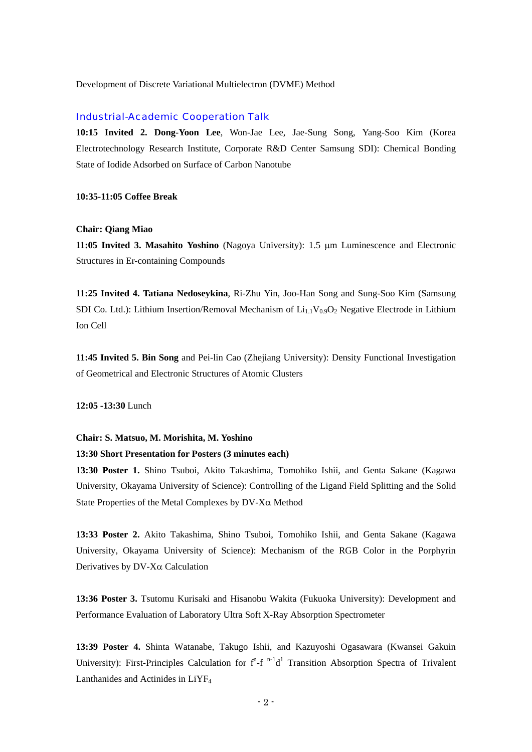Development of Discrete Variational Multielectron (DVME) Method

#### Industrial-Academic Cooperation Talk

**10:15 Invited 2. Dong-Yoon Lee**, Won-Jae Lee, Jae-Sung Song, Yang-Soo Kim (Korea Electrotechnology Research Institute, Corporate R&D Center Samsung SDI): Chemical Bonding State of Iodide Adsorbed on Surface of Carbon Nanotube

### **10:35-11:05 Coffee Break**

#### **Chair: Qiang Miao**

**11:05 Invited 3. Masahito Yoshino** (Nagoya University): 1.5 μm Luminescence and Electronic Structures in Er-containing Compounds

**11:25 Invited 4. Tatiana Nedoseykina**, Ri-Zhu Yin, Joo-Han Song and Sung-Soo Kim (Samsung SDI Co. Ltd.): Lithium Insertion/Removal Mechanism of  $Li_{1,1}V_{0,9}O_2$  Negative Electrode in Lithium Ion Cell

**11:45 Invited 5. Bin Song** and Pei-lin Cao (Zhejiang University): Density Functional Investigation of Geometrical and Electronic Structures of Atomic Clusters

**12:05 -13:30** Lunch

#### **Chair: S. Matsuo, M. Morishita, M. Yoshino**

## **13:30 Short Presentation for Posters (3 minutes each)**

**13:30 Poster 1.** Shino Tsuboi, Akito Takashima, Tomohiko Ishii, and Genta Sakane (Kagawa University, Okayama University of Science): Controlling of the Ligand Field Splitting and the Solid State Properties of the Metal Complexes by DV-Xα Method

**13:33 Poster 2.** Akito Takashima, Shino Tsuboi, Tomohiko Ishii, and Genta Sakane (Kagawa University, Okayama University of Science): Mechanism of the RGB Color in the Porphyrin Derivatives by DV-Xα Calculation

**13:36 Poster 3.** Tsutomu Kurisaki and Hisanobu Wakita (Fukuoka University): Development and Performance Evaluation of Laboratory Ultra Soft X-Ray Absorption Spectrometer

**13:39 Poster 4.** Shinta Watanabe, Takugo Ishii, and Kazuyoshi Ogasawara (Kwansei Gakuin University): First-Principles Calculation for  $f^n$ -f  $n-1d^1$  Transition Absorption Spectra of Trivalent Lanthanides and Actinides in LiYF4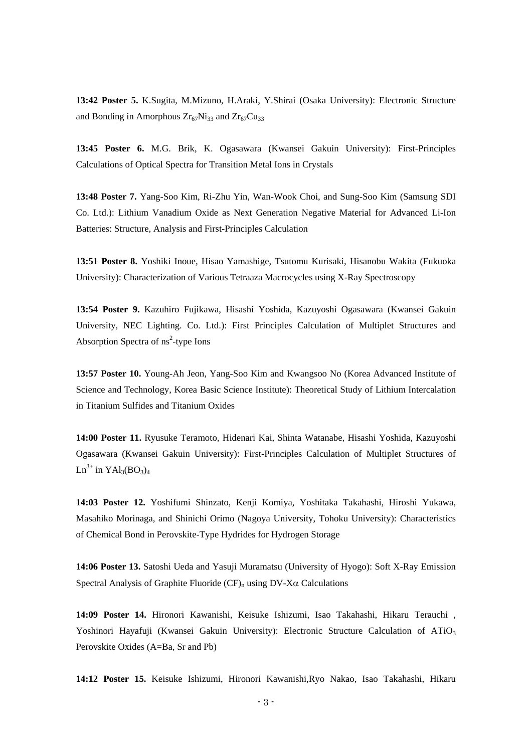**13:42 Poster 5.** K.Sugita, M.Mizuno, H.Araki, Y.Shirai (Osaka University): Electronic Structure and Bonding in Amorphous  $Zr_{67}Ni_{33}$  and  $Zr_{67}Cu_{33}$ 

**13:45 Poster 6.** M.G. Brik, K. Ogasawara (Kwansei Gakuin University): First-Principles Calculations of Optical Spectra for Transition Metal Ions in Crystals

**13:48 Poster 7.** Yang-Soo Kim, Ri-Zhu Yin, Wan-Wook Choi, and Sung-Soo Kim (Samsung SDI Co. Ltd.): Lithium Vanadium Oxide as Next Generation Negative Material for Advanced Li-Ion Batteries: Structure, Analysis and First-Principles Calculation

**13:51 Poster 8.** Yoshiki Inoue, Hisao Yamashige, Tsutomu Kurisaki, Hisanobu Wakita (Fukuoka University): Characterization of Various Tetraaza Macrocycles using X-Ray Spectroscopy

**13:54 Poster 9.** Kazuhiro Fujikawa, Hisashi Yoshida, Kazuyoshi Ogasawara (Kwansei Gakuin University, NEC Lighting. Co. Ltd.): First Principles Calculation of Multiplet Structures and Absorption Spectra of  $\text{ns}^2$ -type Ions

**13:57 Poster 10.** Young-Ah Jeon, Yang-Soo Kim and Kwangsoo No (Korea Advanced Institute of Science and Technology, Korea Basic Science Institute): Theoretical Study of Lithium Intercalation in Titanium Sulfides and Titanium Oxides

**14:00 Poster 11.** Ryusuke Teramoto, Hidenari Kai, Shinta Watanabe, Hisashi Yoshida, Kazuyoshi Ogasawara (Kwansei Gakuin University): First-Principles Calculation of Multiplet Structures of  $Ln^{3+}$  in  $YAl_3(BO_3)_4$ 

**14:03 Poster 12.** Yoshifumi Shinzato, Kenji Komiya, Yoshitaka Takahashi, Hiroshi Yukawa, Masahiko Morinaga, and Shinichi Orimo (Nagoya University, Tohoku University): Characteristics of Chemical Bond in Perovskite-Type Hydrides for Hydrogen Storage

**14:06 Poster 13.** Satoshi Ueda and Yasuji Muramatsu (University of Hyogo): Soft X-Ray Emission Spectral Analysis of Graphite Fluoride ( $CF$ )<sub>n</sub> using  $DV-X\alpha$  Calculations

**14:09 Poster 14.** Hironori Kawanishi, Keisuke Ishizumi, Isao Takahashi, Hikaru Terauchi , Yoshinori Hayafuji (Kwansei Gakuin University): Electronic Structure Calculation of ATiO<sub>3</sub> Perovskite Oxides (A=Ba, Sr and Pb)

**14:12 Poster 15.** Keisuke Ishizumi, Hironori Kawanishi,Ryo Nakao, Isao Takahashi, Hikaru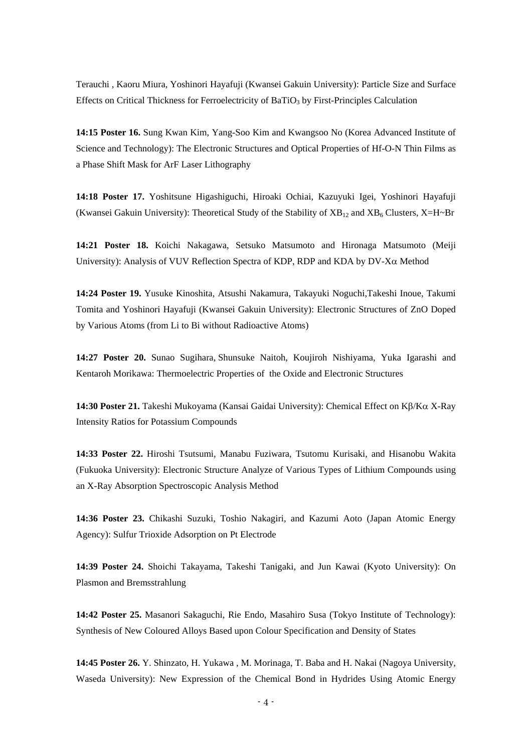Terauchi , Kaoru Miura, Yoshinori Hayafuji (Kwansei Gakuin University): Particle Size and Surface Effects on Critical Thickness for Ferroelectricity of BaTiO<sub>3</sub> by First-Principles Calculation

**14:15 Poster 16.** Sung Kwan Kim, Yang-Soo Kim and Kwangsoo No (Korea Advanced Institute of Science and Technology): The Electronic Structures and Optical Properties of Hf-O-N Thin Films as a Phase Shift Mask for ArF Laser Lithography

**14:18 Poster 17.** Yoshitsune Higashiguchi, Hiroaki Ochiai, Kazuyuki Igei, Yoshinori Hayafuji (Kwansei Gakuin University): Theoretical Study of the Stability of  $XB_{12}$  and  $XB_6$  Clusters,  $X=H\sim Br$ 

**14:21 Poster 18.** Koichi Nakagawa, Setsuko Matsumoto and Hironaga Matsumoto (Meiji University): Analysis of VUV Reflection Spectra of KDP, RDP and KDA by  $DV-X\alpha$  Method

**14:24 Poster 19.** Yusuke Kinoshita, Atsushi Nakamura, Takayuki Noguchi,Takeshi Inoue, Takumi Tomita and Yoshinori Hayafuji (Kwansei Gakuin University): Electronic Structures of ZnO Doped by Various Atoms (from Li to Bi without Radioactive Atoms)

**14:27 Poster 20.** Sunao Sugihara, Shunsuke Naitoh, Koujiroh Nishiyama, Yuka Igarashi and Kentaroh Morikawa: Thermoelectric Properties of the Oxide and Electronic Structures

**14:30 Poster 21.** Takeshi Mukoyama (Kansai Gaidai University): Chemical Effect on Kβ/Kα X-Ray Intensity Ratios for Potassium Compounds

**14:33 Poster 22.** Hiroshi Tsutsumi, Manabu Fuziwara, Tsutomu Kurisaki, and Hisanobu Wakita (Fukuoka University): Electronic Structure Analyze of Various Types of Lithium Compounds using an X-Ray Absorption Spectroscopic Analysis Method

**14:36 Poster 23.** Chikashi Suzuki, Toshio Nakagiri, and Kazumi Aoto (Japan Atomic Energy Agency): Sulfur Trioxide Adsorption on Pt Electrode

**14:39 Poster 24.** Shoichi Takayama, Takeshi Tanigaki, and Jun Kawai (Kyoto University): On Plasmon and Bremsstrahlung

**14:42 Poster 25.** Masanori Sakaguchi, Rie Endo, Masahiro Susa (Tokyo Institute of Technology): Synthesis of New Coloured Alloys Based upon Colour Specification and Density of States

**14:45 Poster 26.** Y. Shinzato, H. Yukawa , M. Morinaga, T. Baba and H. Nakai (Nagoya University, Waseda University): New Expression of the Chemical Bond in Hydrides Using Atomic Energy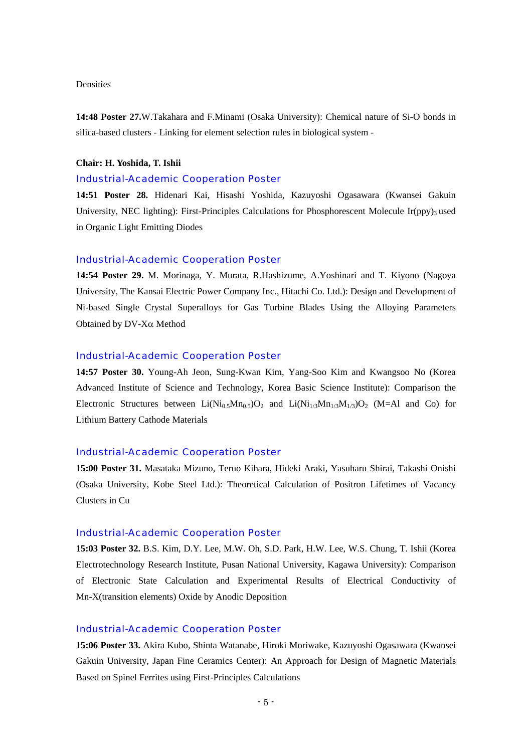# Densities

**14:48 Poster 27.**W.Takahara and F.Minami (Osaka University): Chemical nature of Si-O bonds in silica-based clusters - Linking for element selection rules in biological system -

## **Chair: H. Yoshida, T. Ishii**

#### Industrial-Academic Cooperation Poster

**14:51 Poster 28.** Hidenari Kai, Hisashi Yoshida, Kazuyoshi Ogasawara (Kwansei Gakuin University, NEC lighting): First-Principles Calculations for Phosphorescent Molecule Ir(ppy)<sub>3</sub> used in Organic Light Emitting Diodes

## Industrial-Academic Cooperation Poster

**14:54 Poster 29.** M. Morinaga, Y. Murata, R.Hashizume, A.Yoshinari and T. Kiyono (Nagoya University, The Kansai Electric Power Company Inc., Hitachi Co. Ltd.): Design and Development of Ni-based Single Crystal Superalloys for Gas Turbine Blades Using the Alloying Parameters Obtained by DV-Xα Method

#### Industrial-Academic Cooperation Poster

**14:57 Poster 30.** Young-Ah Jeon, Sung-Kwan Kim, Yang-Soo Kim and Kwangsoo No (Korea Advanced Institute of Science and Technology, Korea Basic Science Institute): Comparison the Electronic Structures between  $Li(Ni_{0.5}Mn_{0.5})O_2$  and  $Li(Ni_{1/3}Mn_{1/3}M_{1/3})O_2$  (M=Al and Co) for Lithium Battery Cathode Materials

### Industrial-Academic Cooperation Poster

**15:00 Poster 31.** Masataka Mizuno, Teruo Kihara, Hideki Araki, Yasuharu Shirai, Takashi Onishi (Osaka University, Kobe Steel Ltd.): Theoretical Calculation of Positron Lifetimes of Vacancy Clusters in Cu

# Industrial-Academic Cooperation Poster

**15:03 Poster 32.** B.S. Kim, D.Y. Lee, M.W. Oh, S.D. Park, H.W. Lee, W.S. Chung, T. Ishii (Korea Electrotechnology Research Institute, Pusan National University, Kagawa University): Comparison of Electronic State Calculation and Experimental Results of Electrical Conductivity of Mn-X(transition elements) Oxide by Anodic Deposition

## Industrial-Academic Cooperation Poster

**15:06 Poster 33.** Akira Kubo, Shinta Watanabe, Hiroki Moriwake, Kazuyoshi Ogasawara (Kwansei Gakuin University, Japan Fine Ceramics Center): An Approach for Design of Magnetic Materials Based on Spinel Ferrites using First-Principles Calculations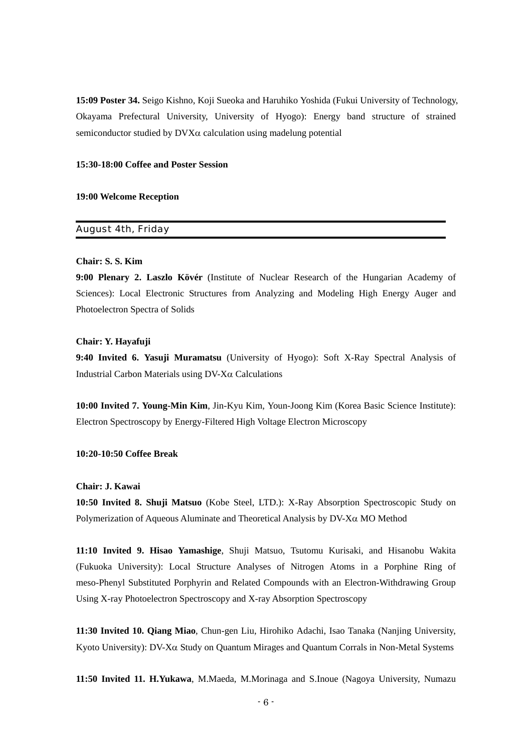**15:09 Poster 34.** Seigo Kishno, Koji Sueoka and Haruhiko Yoshida (Fukui University of Technology, Okayama Prefectural University, University of Hyogo): Energy band structure of strained semiconductor studied by DVXα calculation using madelung potential

# **15:30-18:00 Coffee and Poster Session**

## **19:00 Welcome Reception**

# August 4th, Friday

## **Chair: S. S. Kim**

**9:00 Plenary 2. Laszlo Kövér** (Institute of Nuclear Research of the Hungarian Academy of Sciences): Local Electronic Structures from Analyzing and Modeling High Energy Auger and Photoelectron Spectra of Solids

### **Chair: Y. Hayafuji**

**9:40 Invited 6. Yasuji Muramatsu** (University of Hyogo): Soft X-Ray Spectral Analysis of Industrial Carbon Materials using DV-Xα Calculations

**10:00 Invited 7. Young-Min Kim**, Jin-Kyu Kim, Youn-Joong Kim (Korea Basic Science Institute): Electron Spectroscopy by Energy-Filtered High Voltage Electron Microscopy

# **10:20-10:50 Coffee Break**

## **Chair: J. Kawai**

**10:50 Invited 8. Shuji Matsuo** (Kobe Steel, LTD.): X-Ray Absorption Spectroscopic Study on Polymerization of Aqueous Aluminate and Theoretical Analysis by  $DV$ -X $\alpha$  MO Method

**11:10 Invited 9. Hisao Yamashige**, Shuji Matsuo, Tsutomu Kurisaki, and Hisanobu Wakita (Fukuoka University): Local Structure Analyses of Nitrogen Atoms in a Porphine Ring of meso-Phenyl Substituted Porphyrin and Related Compounds with an Electron-Withdrawing Group Using X-ray Photoelectron Spectroscopy and X-ray Absorption Spectroscopy

**11:30 Invited 10. Qiang Miao**, Chun-gen Liu, Hirohiko Adachi, Isao Tanaka (Nanjing University, Kyoto University): DV-Xα Study on Quantum Mirages and Quantum Corrals in Non-Metal Systems

**11:50 Invited 11. H.Yukawa**, M.Maeda, M.Morinaga and S.Inoue (Nagoya University, Numazu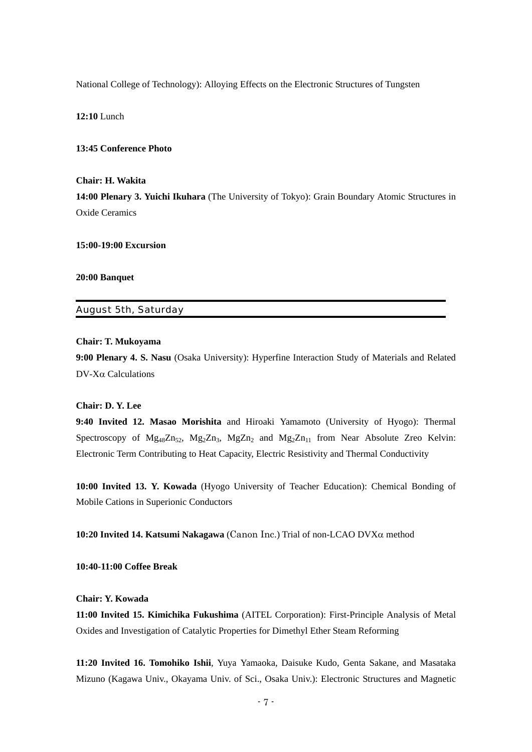National College of Technology): Alloying Effects on the Electronic Structures of Tungsten

**12:10** Lunch

### **13:45 Conference Photo**

## **Chair: H. Wakita**

**14:00 Plenary 3. Yuichi Ikuhara** (The University of Tokyo): Grain Boundary Atomic Structures in Oxide Ceramics

#### **15:00-19:00 Excursion**

**20:00 Banquet** 

## August 5th, Saturday

### **Chair: T. Mukoyama**

**9:00 Plenary 4. S. Nasu** (Osaka University): Hyperfine Interaction Study of Materials and Related  $DV-X\alpha$  Calculations

## **Chair: D. Y. Lee**

**9:40 Invited 12. Masao Morishita** and Hiroaki Yamamoto (University of Hyogo): Thermal Spectroscopy of  $Mg_{48}Zn_{52}$ ,  $Mg_{2}Zn_{3}$ ,  $Mg_{2}Zn_{2}$  and  $Mg_{2}Zn_{11}$  from Near Absolute Zreo Kelvin: Electronic Term Contributing to Heat Capacity, Electric Resistivity and Thermal Conductivity

**10:00 Invited 13. Y. Kowada** (Hyogo University of Teacher Education): Chemical Bonding of Mobile Cations in Superionic Conductors

**10:20 Invited 14. Katsumi Nakagawa** (Canon Inc.) Trial of non-LCAO DVXα method

**10:40-11:00 Coffee Break** 

#### **Chair: Y. Kowada**

**11:00 Invited 15. Kimichika Fukushima** (AITEL Corporation): First-Principle Analysis of Metal Oxides and Investigation of Catalytic Properties for Dimethyl Ether Steam Reforming

**11:20 Invited 16. Tomohiko Ishii**, Yuya Yamaoka, Daisuke Kudo, Genta Sakane, and Masataka Mizuno (Kagawa Univ., Okayama Univ. of Sci., Osaka Univ.): Electronic Structures and Magnetic